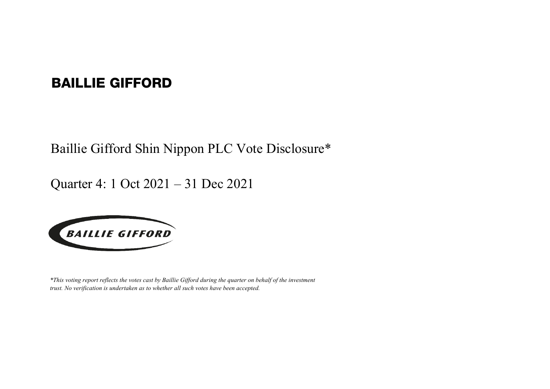## BAILLIE GIFFORD

Baillie Gifford Shin Nippon PLC Vote Disclosure\*

Quarter 4: 1 Oct 2021 – 31 Dec 2021



*\*This voting report reflects the votes cast by Baillie Gifford during the quarter on behalf of the investment trust. No verification is undertaken as to whether all such votes have been accepted.*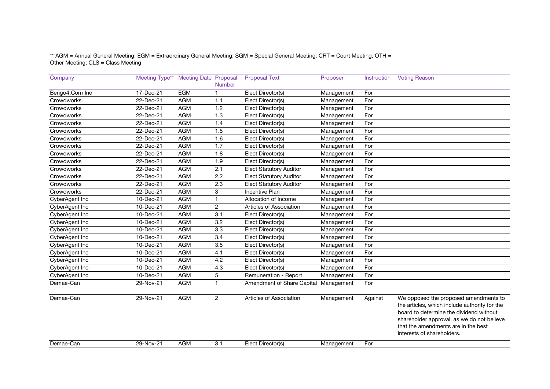\*\* AGM = Annual General Meeting; EGM = Extraordinary General Meeting; SGM = Special General Meeting; CRT = Court Meeting; OTH = Other Meeting; CLS = Class Meeting

| Company        | Meeting Type** Meeting Date Proposal |            |                  | <b>Proposal Text</b>                  | Proposer   | Instruction | <b>Voting Reason</b>                                                                                                                                                                                                                                 |
|----------------|--------------------------------------|------------|------------------|---------------------------------------|------------|-------------|------------------------------------------------------------------------------------------------------------------------------------------------------------------------------------------------------------------------------------------------------|
|                |                                      |            | <b>Number</b>    |                                       |            |             |                                                                                                                                                                                                                                                      |
| Bengo4.Com Inc | 17-Dec-21                            | <b>EGM</b> | $\mathbf{1}$     | Elect Director(s)                     | Management | For         |                                                                                                                                                                                                                                                      |
| Crowdworks     | 22-Dec-21                            | <b>AGM</b> | 1.1              | Elect Director(s)                     | Management | For         |                                                                                                                                                                                                                                                      |
| Crowdworks     | 22-Dec-21                            | <b>AGM</b> | 1.2              | Elect Director(s)                     | Management | For         |                                                                                                                                                                                                                                                      |
| Crowdworks     | 22-Dec-21                            | <b>AGM</b> | 1.3              | Elect Director(s)                     | Management | For         |                                                                                                                                                                                                                                                      |
| Crowdworks     | 22-Dec-21                            | <b>AGM</b> | 1.4              | Elect Director(s)                     | Management | For         |                                                                                                                                                                                                                                                      |
| Crowdworks     | 22-Dec-21                            | <b>AGM</b> | 1.5              | Elect Director(s)                     | Management | For         |                                                                                                                                                                                                                                                      |
| Crowdworks     | 22-Dec-21                            | <b>AGM</b> | 1.6              | Elect Director(s)                     | Management | For         |                                                                                                                                                                                                                                                      |
| Crowdworks     | 22-Dec-21                            | <b>AGM</b> | 1.7              | Elect Director(s)                     | Management | For         |                                                                                                                                                                                                                                                      |
| Crowdworks     | 22-Dec-21                            | <b>AGM</b> | 1.8              | Elect Director(s)                     | Management | For         |                                                                                                                                                                                                                                                      |
| Crowdworks     | 22-Dec-21                            | <b>AGM</b> | 1.9              | Elect Director(s)                     | Management | For         |                                                                                                                                                                                                                                                      |
| Crowdworks     | 22-Dec-21                            | <b>AGM</b> | 2.1              | <b>Elect Statutory Auditor</b>        | Management | For         |                                                                                                                                                                                                                                                      |
| Crowdworks     | 22-Dec-21                            | <b>AGM</b> | 2.2              | <b>Elect Statutory Auditor</b>        | Management | For         |                                                                                                                                                                                                                                                      |
| Crowdworks     | 22-Dec-21                            | <b>AGM</b> | 2.3              | <b>Elect Statutory Auditor</b>        | Management | For         |                                                                                                                                                                                                                                                      |
| Crowdworks     | 22-Dec-21                            | <b>AGM</b> | 3                | <b>Incentive Plan</b>                 | Management | For         |                                                                                                                                                                                                                                                      |
| CyberAgent Inc | 10-Dec-21                            | <b>AGM</b> | $\mathbf{1}$     | Allocation of Income                  | Management | For         |                                                                                                                                                                                                                                                      |
| CyberAgent Inc | 10-Dec-21                            | <b>AGM</b> | $\overline{c}$   | Articles of Association               | Management | For         |                                                                                                                                                                                                                                                      |
| CyberAgent Inc | 10-Dec-21                            | <b>AGM</b> | $\overline{3.1}$ | Elect Director(s)                     | Management | For         |                                                                                                                                                                                                                                                      |
| CyberAgent Inc | 10-Dec-21                            | <b>AGM</b> | 3.2              | Elect Director(s)                     | Management | For         |                                                                                                                                                                                                                                                      |
| CyberAgent Inc | 10-Dec-21                            | <b>AGM</b> | 3.3              | Elect Director(s)                     | Management | For         |                                                                                                                                                                                                                                                      |
| CyberAgent Inc | 10-Dec-21                            | <b>AGM</b> | $\overline{3.4}$ | Elect Director(s)                     | Management | For         |                                                                                                                                                                                                                                                      |
| CyberAgent Inc | 10-Dec-21                            | <b>AGM</b> | 3.5              | Elect Director(s)                     | Management | For         |                                                                                                                                                                                                                                                      |
| CyberAgent Inc | 10-Dec-21                            | <b>AGM</b> | 4.1              | Elect Director(s)                     | Management | For         |                                                                                                                                                                                                                                                      |
| CyberAgent Inc | 10-Dec-21                            | <b>AGM</b> | 4.2              | Elect Director(s)                     | Management | For         |                                                                                                                                                                                                                                                      |
| CyberAgent Inc | 10-Dec-21                            | <b>AGM</b> | 4.3              | Elect Director(s)                     | Management | For         |                                                                                                                                                                                                                                                      |
| CyberAgent Inc | 10-Dec-21                            | <b>AGM</b> | 5                | Remuneration - Report                 | Management | For         |                                                                                                                                                                                                                                                      |
| Demae-Can      | 29-Nov-21                            | <b>AGM</b> | $\mathbf{1}$     | Amendment of Share Capital Management |            | For         |                                                                                                                                                                                                                                                      |
| Demae-Can      | 29-Nov-21                            | <b>AGM</b> | 2                | Articles of Association               | Management | Against     | We opposed the proposed amendments to<br>the articles, which include authority for the<br>board to determine the dividend without<br>shareholder approval, as we do not believe<br>that the amendments are in the best<br>interests of shareholders. |
| Demae-Can      | 29-Nov-21                            | <b>AGM</b> | 3.1              | Elect Director(s)                     | Management | For         |                                                                                                                                                                                                                                                      |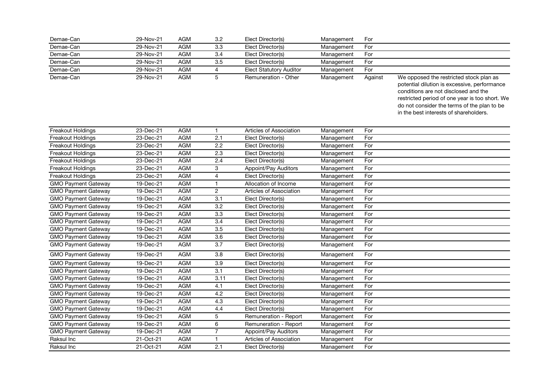| Demae-Can                  | 29-Nov-21   | <b>AGM</b> | 3.2              | Elect Director(s)              | Management | For     |                                                                                                                                                                                                                                                                            |
|----------------------------|-------------|------------|------------------|--------------------------------|------------|---------|----------------------------------------------------------------------------------------------------------------------------------------------------------------------------------------------------------------------------------------------------------------------------|
| Demae-Can                  | 29-Nov-21   | <b>AGM</b> | 3.3              | Elect Director(s)              | Management | For     |                                                                                                                                                                                                                                                                            |
| Demae-Can                  | 29-Nov-21   | <b>AGM</b> | 3.4              | Elect Director(s)              | Management | For     |                                                                                                                                                                                                                                                                            |
| Demae-Can                  | 29-Nov-21   | <b>AGM</b> | 3.5              | Elect Director(s)              | Management | For     |                                                                                                                                                                                                                                                                            |
| Demae-Can                  | 29-Nov-21   | <b>AGM</b> | 4                | <b>Elect Statutory Auditor</b> | Management | For     |                                                                                                                                                                                                                                                                            |
| Demae-Can                  | 29-Nov-21   | <b>AGM</b> | $\overline{5}$   | Remuneration - Other           | Management | Against | We opposed the restricted stock plan as<br>potential dilution is excessive, performance<br>conditions are not disclosed and the<br>restricted period of one year is too short. We<br>do not consider the terms of the plan to be<br>in the best interests of shareholders. |
| Freakout Holdings          | 23-Dec-21   | <b>AGM</b> | $\mathbf{1}$     | Articles of Association        | Management | For     |                                                                                                                                                                                                                                                                            |
| Freakout Holdings          | 23-Dec-21   | <b>AGM</b> | 2.1              | Elect Director(s)              | Management | For     |                                                                                                                                                                                                                                                                            |
| Freakout Holdings          | 23-Dec-21   | <b>AGM</b> | 2.2              | Elect Director(s)              | Management | For     |                                                                                                                                                                                                                                                                            |
| Freakout Holdings          | 23-Dec-21   | <b>AGM</b> | 2.3              | Elect Director(s)              | Management | For     |                                                                                                                                                                                                                                                                            |
| Freakout Holdings          | 23-Dec-21   | <b>AGM</b> | 2.4              | Elect Director(s)              | Management | For     |                                                                                                                                                                                                                                                                            |
| Freakout Holdings          | 23-Dec-21   | <b>AGM</b> | 3                | Appoint/Pay Auditors           | Management | For     |                                                                                                                                                                                                                                                                            |
| Freakout Holdings          | 23-Dec-21   | <b>AGM</b> | $\overline{4}$   | Elect Director(s)              | Management | For     |                                                                                                                                                                                                                                                                            |
| <b>GMO Payment Gateway</b> | 19-Dec-21   | <b>AGM</b> | $\mathbf{1}$     | Allocation of Income           | Management | For     |                                                                                                                                                                                                                                                                            |
| <b>GMO Payment Gateway</b> | 19-Dec-21   | <b>AGM</b> | $\overline{c}$   | Articles of Association        | Management | For     |                                                                                                                                                                                                                                                                            |
| <b>GMO Payment Gateway</b> | 19-Dec-21   | <b>AGM</b> | 3.1              | Elect Director(s)              | Management | For     |                                                                                                                                                                                                                                                                            |
| <b>GMO Payment Gateway</b> | 19-Dec-21   | <b>AGM</b> | 3.2              | Elect Director(s)              | Management | For     |                                                                                                                                                                                                                                                                            |
| <b>GMO Payment Gateway</b> | 19-Dec-21   | <b>AGM</b> | $\overline{3.3}$ | Elect Director(s)              | Management | For     |                                                                                                                                                                                                                                                                            |
| <b>GMO Payment Gateway</b> | 19-Dec-21   | <b>AGM</b> | 3.4              | Elect Director(s)              | Management | For     |                                                                                                                                                                                                                                                                            |
| <b>GMO Payment Gateway</b> | 19-Dec-21   | <b>AGM</b> | $\overline{3.5}$ | Elect Director(s)              | Management | For     |                                                                                                                                                                                                                                                                            |
| <b>GMO Payment Gateway</b> | 19-Dec-21   | <b>AGM</b> | $\overline{3.6}$ | Elect Director(s)              | Management | For     |                                                                                                                                                                                                                                                                            |
| <b>GMO Payment Gateway</b> | 19-Dec-21   | <b>AGM</b> | $\overline{3.7}$ | Elect Director(s)              | Management | For     |                                                                                                                                                                                                                                                                            |
| <b>GMO Payment Gateway</b> | 19-Dec-21   | <b>AGM</b> | 3.8              | Elect Director(s)              | Management | For     |                                                                                                                                                                                                                                                                            |
| <b>GMO Payment Gateway</b> | 19-Dec-21   | <b>AGM</b> | 3.9              | Elect Director(s)              | Management | For     |                                                                                                                                                                                                                                                                            |
| <b>GMO Payment Gateway</b> | 19-Dec-21   | <b>AGM</b> | $\overline{3.1}$ | Elect Director(s)              | Management | For     |                                                                                                                                                                                                                                                                            |
| <b>GMO Payment Gateway</b> | 19-Dec-21   | <b>AGM</b> | 3.11             | Elect Director(s)              | Management | For     |                                                                                                                                                                                                                                                                            |
| <b>GMO Payment Gateway</b> | 19-Dec-21   | <b>AGM</b> | 4.1              | Elect Director(s)              | Management | For     |                                                                                                                                                                                                                                                                            |
| <b>GMO</b> Payment Gateway | 19-Dec-21   | <b>AGM</b> | 4.2              | Elect Director(s)              | Management | For     |                                                                                                                                                                                                                                                                            |
| <b>GMO Payment Gateway</b> | 19-Dec-21   | <b>AGM</b> | 4.3              | Elect Director(s)              | Management | For     |                                                                                                                                                                                                                                                                            |
| <b>GMO Payment Gateway</b> | 19-Dec-21   | <b>AGM</b> | 4.4              | Elect Director(s)              | Management | For     |                                                                                                                                                                                                                                                                            |
| <b>GMO Payment Gateway</b> | 19-Dec-21   | <b>AGM</b> | $\overline{5}$   | Remuneration - Report          | Management | For     |                                                                                                                                                                                                                                                                            |
| <b>GMO</b> Payment Gateway | 19-Dec-21   | <b>AGM</b> | 6                | Remuneration - Report          | Management | For     |                                                                                                                                                                                                                                                                            |
| <b>GMO Payment Gateway</b> | $19-Dec-21$ | <b>AGM</b> | $\overline{7}$   | Appoint/Pay Auditors           | Management | For     |                                                                                                                                                                                                                                                                            |
| Raksul Inc                 | 21-Oct-21   | <b>AGM</b> | $\mathbf{1}$     | Articles of Association        | Management | For     |                                                                                                                                                                                                                                                                            |
| Raksul Inc                 | 21-Oct-21   | <b>AGM</b> | 2.1              | Elect Director(s)              | Management | For     |                                                                                                                                                                                                                                                                            |